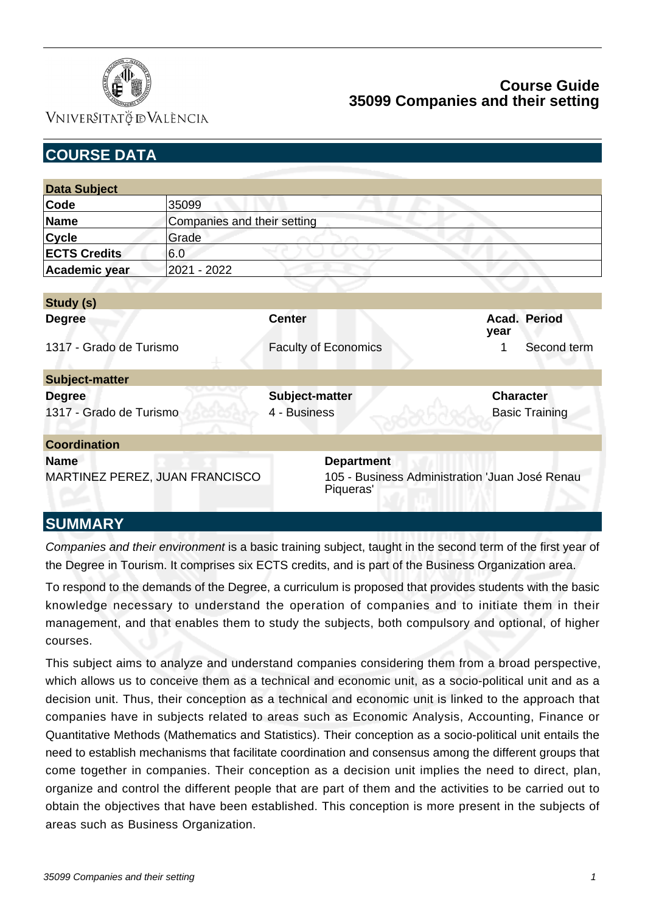

VNIVERSITATÖ IDVALÈNCIA

| <b>COURSE DATA</b>                            |                             |                                |                                                                                  |  |  |                  |                       |
|-----------------------------------------------|-----------------------------|--------------------------------|----------------------------------------------------------------------------------|--|--|------------------|-----------------------|
|                                               |                             |                                |                                                                                  |  |  |                  |                       |
| <b>Data Subject</b>                           |                             |                                |                                                                                  |  |  |                  |                       |
| Code                                          | 35099                       |                                |                                                                                  |  |  |                  |                       |
| <b>Name</b>                                   | Companies and their setting |                                |                                                                                  |  |  |                  |                       |
| <b>Cycle</b>                                  | Grade                       |                                |                                                                                  |  |  |                  |                       |
| <b>ECTS Credits</b>                           | 6.0                         |                                |                                                                                  |  |  |                  |                       |
| Academic year                                 | 2021 - 2022                 |                                |                                                                                  |  |  |                  |                       |
|                                               |                             |                                |                                                                                  |  |  |                  |                       |
| Study (s)                                     |                             |                                |                                                                                  |  |  |                  |                       |
| <b>Degree</b>                                 |                             | <b>Center</b>                  |                                                                                  |  |  | year             | Acad. Period          |
| 1317 - Grado de Turismo                       |                             | <b>Faculty of Economics</b>    |                                                                                  |  |  | 1                | Second term           |
| <b>Subject-matter</b>                         |                             |                                |                                                                                  |  |  |                  |                       |
| <b>Degree</b><br>1317 - Grado de Turismo      |                             | Subject-matter<br>4 - Business |                                                                                  |  |  | <b>Character</b> | <b>Basic Training</b> |
| <b>Coordination</b>                           |                             |                                |                                                                                  |  |  |                  |                       |
| <b>Name</b><br>MARTINEZ PEREZ, JUAN FRANCISCO |                             |                                | <b>Department</b><br>105 - Business Administration 'Juan José Renau<br>Piqueras' |  |  |                  |                       |

## **SUMMARY**

Companies and their environment is a basic training subject, taught in the second term of the first year of the Degree in Tourism. It comprises six ECTS credits, and is part of the Business Organization area.

To respond to the demands of the Degree, a curriculum is proposed that provides students with the basic knowledge necessary to understand the operation of companies and to initiate them in their management, and that enables them to study the subjects, both compulsory and optional, of higher courses.

This subject aims to analyze and understand companies considering them from a broad perspective, which allows us to conceive them as a technical and economic unit, as a socio-political unit and as a decision unit. Thus, their conception as a technical and economic unit is linked to the approach that companies have in subjects related to areas such as Economic Analysis, Accounting, Finance or Quantitative Methods (Mathematics and Statistics). Their conception as a socio-political unit entails the need to establish mechanisms that facilitate coordination and consensus among the different groups that come together in companies. Their conception as a decision unit implies the need to direct, plan, organize and control the different people that are part of them and the activities to be carried out to obtain the objectives that have been established. This conception is more present in the subjects of areas such as Business Organization.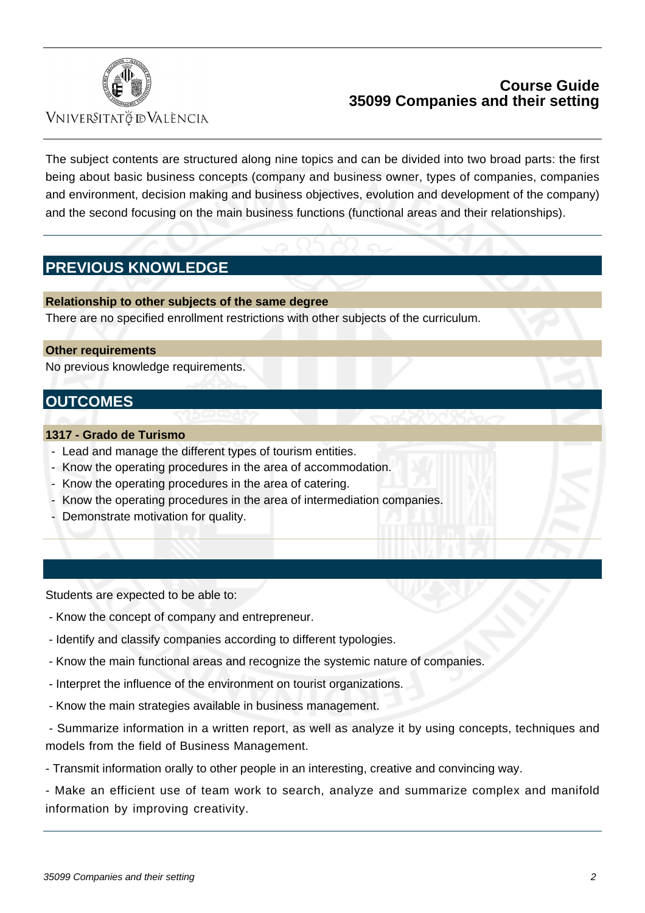

VNIVERSITATÖ IDVALÈNCIA

The subject contents are structured along nine topics and can be divided into two broad parts: the first being about basic business concepts (company and business owner, types of companies, companies and environment, decision making and business objectives, evolution and development of the company) and the second focusing on the main business functions (functional areas and their relationships).

# **PREVIOUS KNOWLEDGE**

**Relationship to other subjects of the same degree** There are no specified enrollment restrictions with other subjects of the curriculum.

### **Other requirements**

No previous knowledge requirements.

# **OUTCOMES**

### **1317 - Grado de Turismo**

- Lead and manage the different types of tourism entities.
- Know the operating procedures in the area of accommodation.
- Know the operating procedures in the area of catering.
- Know the operating procedures in the area of intermediation companies.
- Demonstrate motivation for quality.

Students are expected to be able to:

- Know the concept of company and entrepreneur.
- Identify and classify companies according to different typologies.
- Know the main functional areas and recognize the systemic nature of companies.
- Interpret the influence of the environment on tourist organizations.
- Know the main strategies available in business management.

 - Summarize information in a written report, as well as analyze it by using concepts, techniques and models from the field of Business Management.

- Transmit information orally to other people in an interesting, creative and convincing way.

- Make an efficient use of team work to search, analyze and summarize complex and manifold information by improving creativity.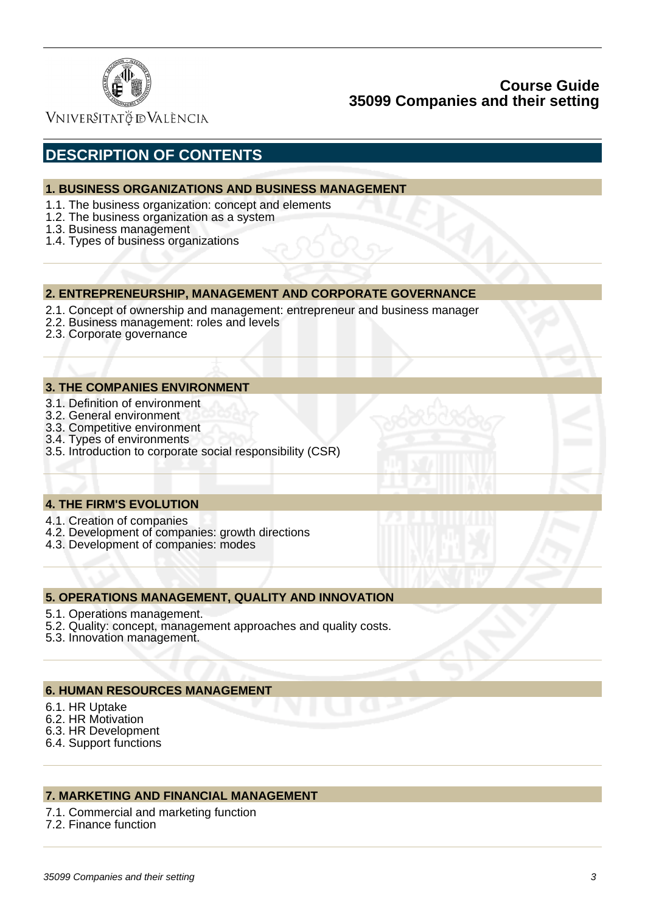

VNIVERSITATÖ ID VALÈNCIA

# **DESCRIPTION OF CONTENTS**

### **1. BUSINESS ORGANIZATIONS AND BUSINESS MANAGEMENT**

- 1.1. The business organization: concept and elements
- 1.2. The business organization as a system
- 1.3. Business management
- 1.4. Types of business organizations

### **2. ENTREPRENEURSHIP, MANAGEMENT AND CORPORATE GOVERNANCE**

- 2.1. Concept of ownership and management: entrepreneur and business manager
- 2.2. Business management: roles and levels
- 2.3. Corporate governance

#### **3. THE COMPANIES ENVIRONMENT**

- 3.1. Definition of environment
- 3.2. General environment
- 3.3. Competitive environment
- 3.4. Types of environments
- 3.5. Introduction to corporate social responsibility (CSR)

### **4. THE FIRM'S EVOLUTION**

- 4.1. Creation of companies
- 4.2. Development of companies: growth directions
- 4.3. Development of companies: modes

#### **5. OPERATIONS MANAGEMENT, QUALITY AND INNOVATION**

- 5.1. Operations management.
- 5.2. Quality: concept, management approaches and quality costs.
- 5.3. Innovation management.

### **6. HUMAN RESOURCES MANAGEMENT**

- 6.1. HR Uptake
- 6.2. HR Motivation
- 6.3. HR Development
- 6.4. Support functions

## **7. MARKETING AND FINANCIAL MANAGEMENT**

- 7.1. Commercial and marketing function
- 7.2. Finance function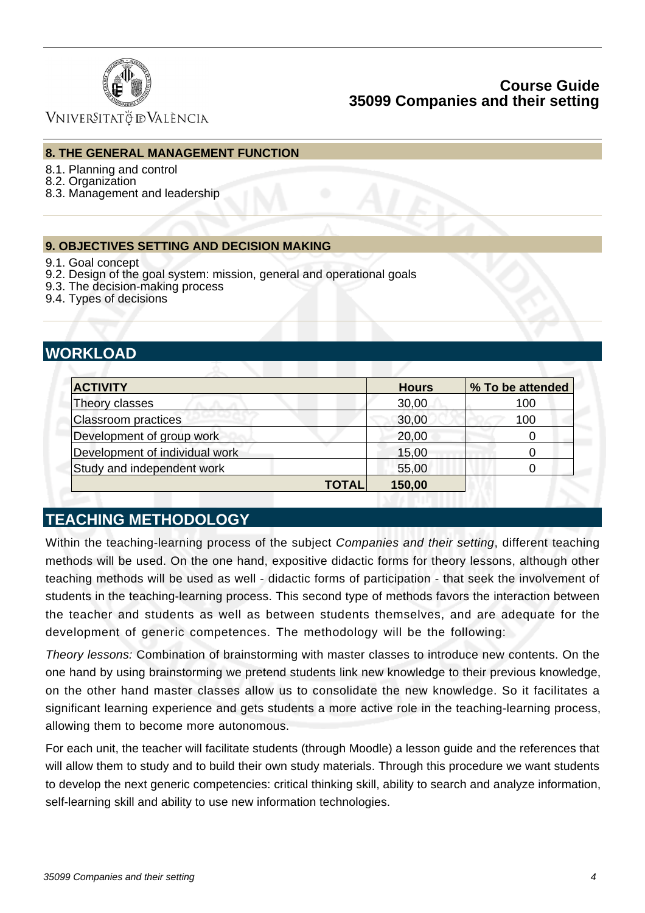

VNIVERSITATÖ IDVALÈNCIA

### **8. THE GENERAL MANAGEMENT FUNCTION**

- 8.1. Planning and control
- 8.2. Organization
- 8.3. Management and leadership

### **9. OBJECTIVES SETTING AND DECISION MAKING**

- 9.1. Goal concept
- 9.2. Design of the goal system: mission, general and operational goals
- 9.3. The decision-making process
- 9.4. Types of decisions

# **WORKLOAD**

| <b>ACTIVITY</b>                |              | <b>Hours</b> | % To be attended |
|--------------------------------|--------------|--------------|------------------|
| Theory classes                 |              | 30,00        | 100              |
| <b>Classroom practices</b>     |              | 30,00        | 100              |
| Development of group work      |              | 20,00        | 0                |
| Development of individual work |              | 15,00        |                  |
| Study and independent work     |              | 55,00        |                  |
|                                | <b>TOTAL</b> | 150,00       |                  |

# **TEACHING METHODOLOGY**

Within the teaching-learning process of the subject Companies and their setting, different teaching methods will be used. On the one hand, expositive didactic forms for theory lessons, although other teaching methods will be used as well - didactic forms of participation - that seek the involvement of students in the teaching-learning process. This second type of methods favors the interaction between the teacher and students as well as between students themselves, and are adequate for the development of generic competences. The methodology will be the following:

Theory lessons: Combination of brainstorming with master classes to introduce new contents. On the one hand by using brainstorming we pretend students link new knowledge to their previous knowledge, on the other hand master classes allow us to consolidate the new knowledge. So it facilitates a significant learning experience and gets students a more active role in the teaching-learning process, allowing them to become more autonomous.

For each unit, the teacher will facilitate students (through Moodle) a lesson guide and the references that will allow them to study and to build their own study materials. Through this procedure we want students to develop the next generic competencies: critical thinking skill, ability to search and analyze information, self-learning skill and ability to use new information technologies.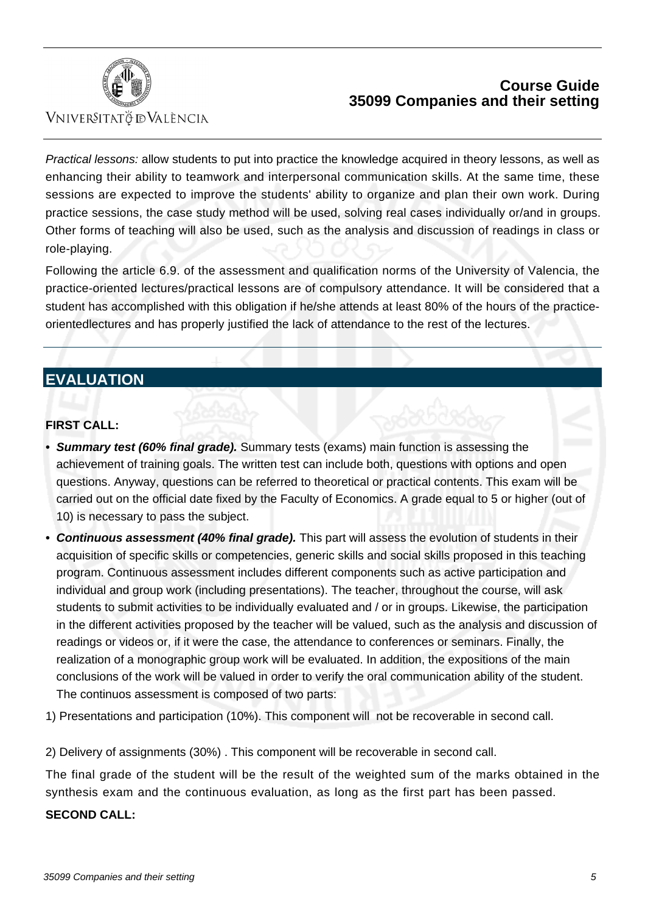

VNIVERSITATÖ ID VALÈNCIA

Practical lessons: allow students to put into practice the knowledge acquired in theory lessons, as well as enhancing their ability to teamwork and interpersonal communication skills. At the same time, these sessions are expected to improve the students' ability to organize and plan their own work. During practice sessions, the case study method will be used, solving real cases individually or/and in groups. Other forms of teaching will also be used, such as the analysis and discussion of readings in class or role-playing.

Following the article 6.9. of the assessment and qualification norms of the University of Valencia, the practice-oriented lectures/practical lessons are of compulsory attendance. It will be considered that a student has accomplished with this obligation if he/she attends at least 80% of the hours of the practiceorientedlectures and has properly justified the lack of attendance to the rest of the lectures.

# **EVALUATION**

## **FIRST CALL:**

- **Summary test (60% final grade).** Summary tests (exams) main function is assessing the **•** achievement of training goals. The written test can include both, questions with options and open questions. Anyway, questions can be referred to theoretical or practical contents. This exam will be carried out on the official date fixed by the Faculty of Economics. A grade equal to 5 or higher (out of 10) is necessary to pass the subject.
- **Continuous assessment (40% final grade).** This part will assess the evolution of students in their acquisition of specific skills or competencies, generic skills and social skills proposed in this teaching program. Continuous assessment includes different components such as active participation and individual and group work (including presentations). The teacher, throughout the course, will ask students to submit activities to be individually evaluated and / or in groups. Likewise, the participation in the different activities proposed by the teacher will be valued, such as the analysis and discussion of readings or videos or, if it were the case, the attendance to conferences or seminars. Finally, the realization of a monographic group work will be evaluated. In addition, the expositions of the main conclusions of the work will be valued in order to verify the oral communication ability of the student. The continuos assessment is composed of two parts:

1) Presentations and participation (10%). This component will not be recoverable in second call.

2) Delivery of assignments (30%) . This component will be recoverable in second call.

The final grade of the student will be the result of the weighted sum of the marks obtained in the synthesis exam and the continuous evaluation, as long as the first part has been passed.

### **SECOND CALL:**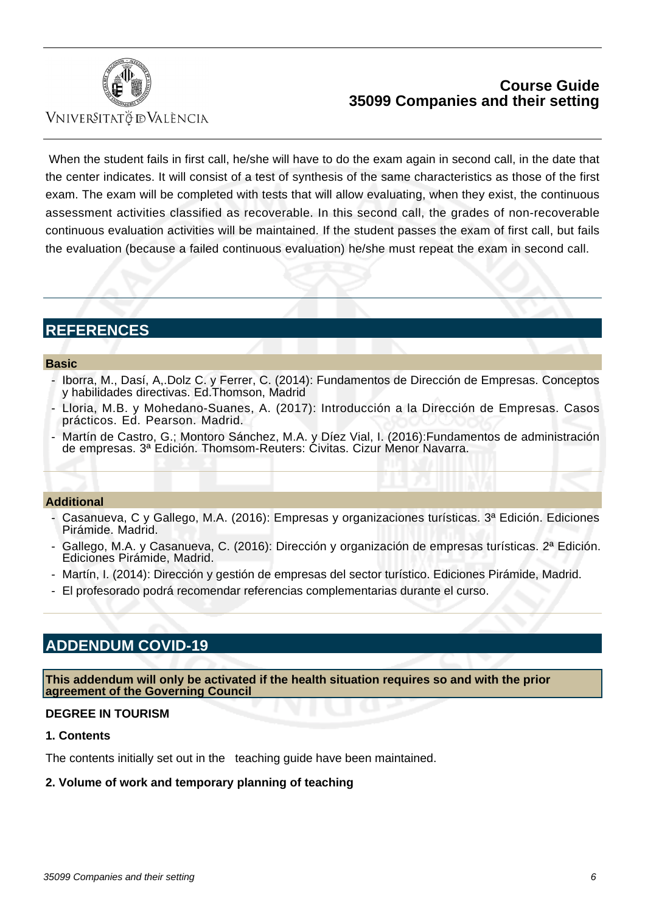

Vniver§itatğ dValència

When the student fails in first call, he/she will have to do the exam again in second call, in the date that the center indicates. It will consist of a test of synthesis of the same characteristics as those of the first exam. The exam will be completed with tests that will allow evaluating, when they exist, the continuous assessment activities classified as recoverable. In this second call, the grades of non-recoverable continuous evaluation activities will be maintained. If the student passes the exam of first call, but fails the evaluation (because a failed continuous evaluation) he/she must repeat the exam in second call.

# **REFERENCES**

#### **Basic**

- Iborra, M., Dasí, A,.Dolz C. y Ferrer, C. (2014): Fundamentos de Dirección de Empresas. Conceptos y habilidades directivas. Ed.Thomson, Madrid
- Lloria, M.B. y Mohedano-Suanes, A. (2017): Introducción a la Dirección de Empresas. Casos prácticos. Ed. Pearson. Madrid.
- Martín de Castro, G.; Montoro Sánchez, M.A. y Díez Vial, I. (2016):Fundamentos de administración de empresas. 3ª Edición. Thomsom-Reuters: Civitas. Cizur Menor Navarra.

#### **Additional**

- Casanueva, C y Gallego, M.A. (2016): Empresas y organizaciones turísticas. 3ª Edición. Ediciones Pirámide. Madrid.
- Gallego, M.A. y Casanueva, C. (2016): Dirección y organización de empresas turísticas. 2ª Edición. Ediciones Pirámide, Madrid.
- Martín, I. (2014): Dirección y gestión de empresas del sector turístico. Ediciones Pirámide, Madrid.
- El profesorado podrá recomendar referencias complementarias durante el curso.

# **ADDENDUM COVID-19**

**This addendum will only be activated if the health situation requires so and with the prior agreement of the Governing Council**

### **DEGREE IN TOURISM**

#### **1. Contents**

The contents initially set out in the teaching guide have been maintained.

### **2. Volume of work and temporary planning of teaching**